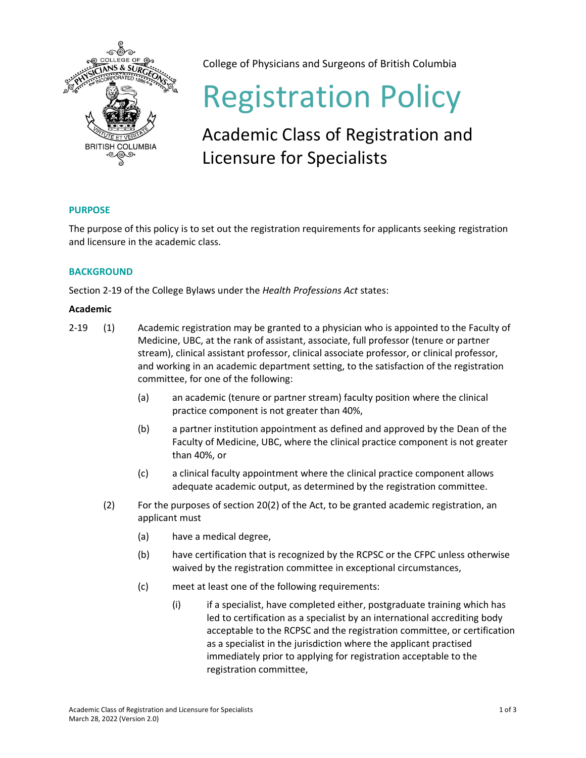

College of Physicians and Surgeons of British Columbia

# Registration Policy

# Academic Class of Registration and Licensure for Specialists

## **PURPOSE**

The purpose of this policy is to set out the registration requirements for applicants seeking registration and licensure in the academic class.

### **BACKGROUND**

Section 2-19 of the College Bylaws under the *Health Professions Act* states:

#### **Academic**

- 2-19 (1) Academic registration may be granted to a physician who is appointed to the Faculty of Medicine, UBC, at the rank of assistant, associate, full professor (tenure or partner stream), clinical assistant professor, clinical associate professor, or clinical professor, and working in an academic department setting, to the satisfaction of the registration committee, for one of the following:
	- (a) an academic (tenure or partner stream) faculty position where the clinical practice component is not greater than 40%,
	- (b) a partner institution appointment as defined and approved by the Dean of the Faculty of Medicine, UBC, where the clinical practice component is not greater than 40%, or
	- (c) a clinical faculty appointment where the clinical practice component allows adequate academic output, as determined by the registration committee.
	- (2) For the purposes of section 20(2) of the Act, to be granted academic registration, an applicant must
		- (a) have a medical degree,
		- (b) have certification that is recognized by the RCPSC or the CFPC unless otherwise waived by the registration committee in exceptional circumstances,
		- (c) meet at least one of the following requirements:
			- (i) if a specialist, have completed either, postgraduate training which has led to certification as a specialist by an international accrediting body acceptable to the RCPSC and the registration committee, or certification as a specialist in the jurisdiction where the applicant practised immediately prior to applying for registration acceptable to the registration committee,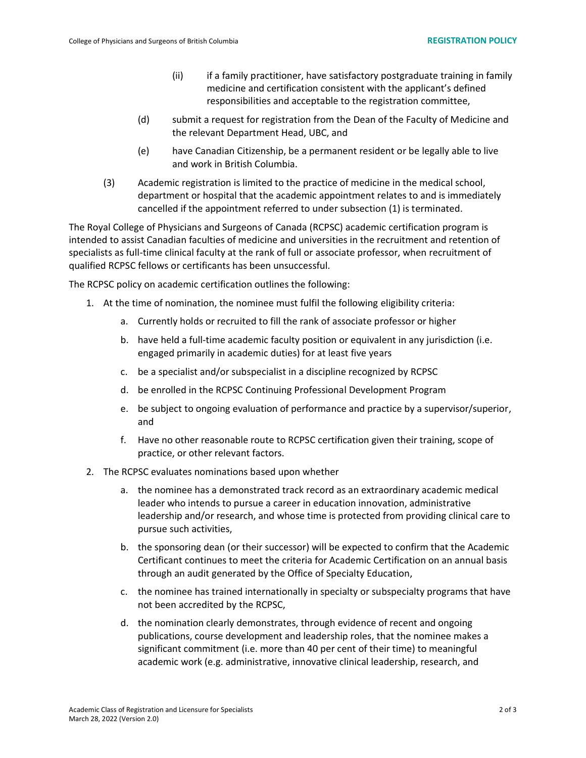- (ii) if a family practitioner, have satisfactory postgraduate training in family medicine and certification consistent with the applicant's defined responsibilities and acceptable to the registration committee,
- (d) submit a request for registration from the Dean of the Faculty of Medicine and the relevant Department Head, UBC, and
- (e) have Canadian Citizenship, be a permanent resident or be legally able to live and work in British Columbia.
- (3) Academic registration is limited to the practice of medicine in the medical school, department or hospital that the academic appointment relates to and is immediately cancelled if the appointment referred to under subsection (1) is terminated.

The Royal College of Physicians and Surgeons of Canada (RCPSC) academic certification program is intended to assist Canadian faculties of medicine and universities in the recruitment and retention of specialists as full-time clinical faculty at the rank of full or associate professor, when recruitment of qualified RCPSC fellows or certificants has been unsuccessful.

The RCPSC policy on academic certification outlines the following:

- 1. At the time of nomination, the nominee must fulfil the following eligibility criteria:
	- a. Currently holds or recruited to fill the rank of associate professor or higher
	- b. have held a full-time academic faculty position or equivalent in any jurisdiction (i.e. engaged primarily in academic duties) for at least five years
	- c. be a specialist and/or subspecialist in a discipline recognized by RCPSC
	- d. be enrolled in the RCPSC Continuing Professional Development Program
	- e. be subject to ongoing evaluation of performance and practice by a supervisor/superior, and
	- f. Have no other reasonable route to RCPSC certification given their training, scope of practice, or other relevant factors.
- 2. The RCPSC evaluates nominations based upon whether
	- a. the nominee has a demonstrated track record as an extraordinary academic medical leader who intends to pursue a career in education innovation, administrative leadership and/or research, and whose time is protected from providing clinical care to pursue such activities,
	- b. the sponsoring dean (or their successor) will be expected to confirm that the Academic Certificant continues to meet the criteria for Academic Certification on an annual basis through an audit generated by the Office of Specialty Education,
	- c. the nominee has trained internationally in specialty or subspecialty programs that have not been accredited by the RCPSC,
	- d. the nomination clearly demonstrates, through evidence of recent and ongoing publications, course development and leadership roles, that the nominee makes a significant commitment (i.e. more than 40 per cent of their time) to meaningful academic work (e.g. administrative, innovative clinical leadership, research, and